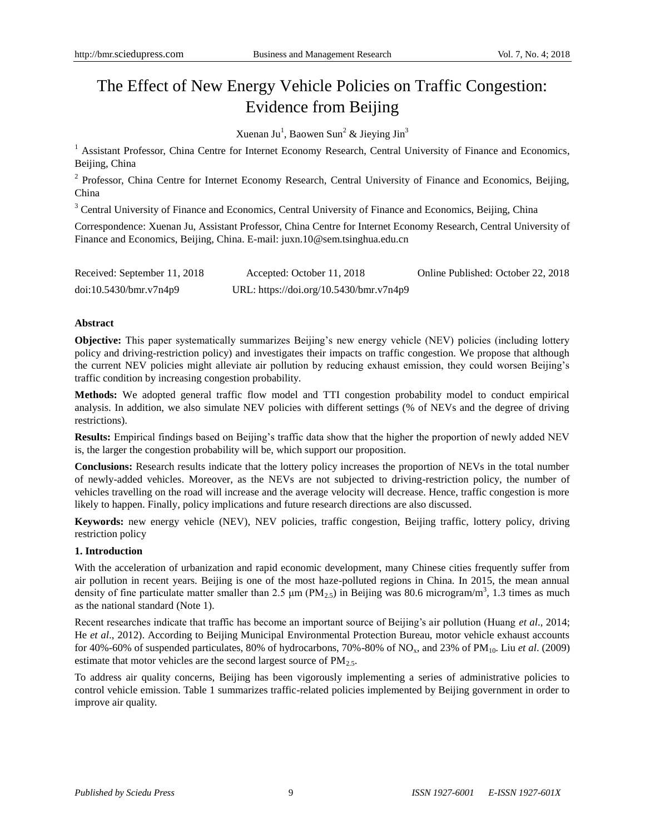# The Effect of New Energy Vehicle Policies on Traffic Congestion: Evidence from Beijing

Xuenan Ju<sup>1</sup>, Baowen Sun<sup>2</sup> & Jieying Jin<sup>3</sup>

<sup>1</sup> Assistant Professor, China Centre for Internet Economy Research, Central University of Finance and Economics, Beijing, China

<sup>2</sup> Professor, China Centre for Internet Economy Research, Central University of Finance and Economics, Beijing, China

<sup>3</sup> Central University of Finance and Economics, Central University of Finance and Economics, Beijing, China

Correspondence: Xuenan Ju, Assistant Professor, China Centre for Internet Economy Research, Central University of Finance and Economics, Beijing, China. E-mail: juxn.10@sem.tsinghua.edu.cn

| Received: September 11, 2018 | Accepted: October 11, 2018              | Online Published: October 22, 2018 |
|------------------------------|-----------------------------------------|------------------------------------|
| doi:10.5430/bmr.v7n4p9       | URL: https://doi.org/10.5430/bmr.v7n4p9 |                                    |

# **Abstract**

**Objective:** This paper systematically summarizes Beijing's new energy vehicle (NEV) policies (including lottery policy and driving-restriction policy) and investigates their impacts on traffic congestion. We propose that although the current NEV policies might alleviate air pollution by reducing exhaust emission, they could worsen Beijing's traffic condition by increasing congestion probability.

**Methods:** We adopted general traffic flow model and TTI congestion probability model to conduct empirical analysis. In addition, we also simulate NEV policies with different settings (% of NEVs and the degree of driving restrictions).

**Results:** Empirical findings based on Beijing's traffic data show that the higher the proportion of newly added NEV is, the larger the congestion probability will be, which support our proposition.

**Conclusions:** Research results indicate that the lottery policy increases the proportion of NEVs in the total number of newly-added vehicles. Moreover, as the NEVs are not subjected to driving-restriction policy, the number of vehicles travelling on the road will increase and the average velocity will decrease. Hence, traffic congestion is more likely to happen. Finally, policy implications and future research directions are also discussed.

**Keywords:** new energy vehicle (NEV), NEV policies, traffic congestion, Beijing traffic, lottery policy, driving restriction policy

# **1. Introduction**

With the acceleration of urbanization and rapid economic development, many Chinese cities frequently suffer from air pollution in recent years. Beijing is one of the most haze-polluted regions in China. In 2015, the mean annual density of fine particulate matter smaller than 2.5  $\mu$ m (PM<sub>2.5</sub>) in Beijing was 80.6 microgram/m<sup>3</sup>, 1.3 times as much as the national standard (Note 1).

Recent researches indicate that traffic has become an important source of Beijing's air pollution (Huang *et al*., 2014; He *et al*., 2012). According to Beijing Municipal Environmental Protection Bureau, motor vehicle exhaust accounts for 40%-60% of suspended particulates, 80% of hydrocarbons, 70%-80% of NO<sub>x</sub>, and 23% of PM<sub>10</sub>. Liu *et al.* (2009) estimate that motor vehicles are the second largest source of  $PM<sub>2.5</sub>$ .

To address air quality concerns, Beijing has been vigorously implementing a series of administrative policies to control vehicle emission. Table 1 summarizes traffic-related policies implemented by Beijing government in order to improve air quality.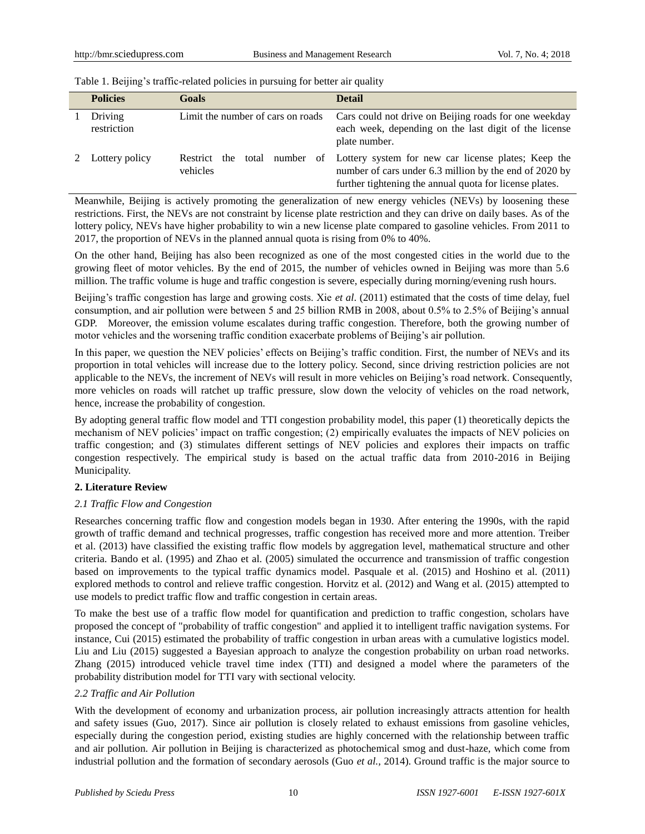| <b>Policies</b>        | Goals                                       | <b>Detail</b>                                                                                                                                                               |
|------------------------|---------------------------------------------|-----------------------------------------------------------------------------------------------------------------------------------------------------------------------------|
| Driving<br>restriction | Limit the number of cars on roads           | Cars could not drive on Beijing roads for one weekday<br>each week, depending on the last digit of the license<br>plate number.                                             |
| Lottery policy         | number<br>Restrict the<br>total<br>vehicles | of Lottery system for new car license plates; Keep the<br>number of cars under 6.3 million by the end of 2020 by<br>further tightening the annual quota for license plates. |

Table 1. Beijing's traffic-related policies in pursuing for better air quality

Meanwhile, Beijing is actively promoting the generalization of new energy vehicles (NEVs) by loosening these restrictions. First, the NEVs are not constraint by license plate restriction and they can drive on daily bases. As of the lottery policy, NEVs have higher probability to win a new license plate compared to gasoline vehicles. From 2011 to 2017, the proportion of NEVs in the planned annual quota is rising from 0% to 40%.

On the other hand, Beijing has also been recognized as one of the most congested cities in the world due to the growing fleet of motor vehicles. By the end of 2015, the number of vehicles owned in Beijing was more than 5.6 million. The traffic volume is huge and traffic congestion is severe, especially during morning/evening rush hours.

Beijing's traffic congestion has large and growing costs. Xie *et al*. (2011) estimated that the costs of time delay, fuel consumption, and air pollution were between 5 and 25 billion RMB in 2008, about 0.5% to 2.5% of Beijing's annual GDP. Moreover, the emission volume escalates during traffic congestion. Therefore, both the growing number of motor vehicles and the worsening traffic condition exacerbate problems of Beijing's air pollution.

In this paper, we question the NEV policies' effects on Beijing's traffic condition. First, the number of NEVs and its proportion in total vehicles will increase due to the lottery policy. Second, since driving restriction policies are not applicable to the NEVs, the increment of NEVs will result in more vehicles on Beijing's road network. Consequently, more vehicles on roads will ratchet up traffic pressure, slow down the velocity of vehicles on the road network, hence, increase the probability of congestion.

By adopting general traffic flow model and TTI congestion probability model, this paper (1) theoretically depicts the mechanism of NEV policies' impact on traffic congestion; (2) empirically evaluates the impacts of NEV policies on traffic congestion; and (3) stimulates different settings of NEV policies and explores their impacts on traffic congestion respectively. The empirical study is based on the actual traffic data from 2010-2016 in Beijing Municipality.

# **2. Literature Review**

# *2.1 Traffic Flow and Congestion*

Researches concerning traffic flow and congestion models began in 1930. After entering the 1990s, with the rapid growth of traffic demand and technical progresses, traffic congestion has received more and more attention. Treiber et al. (2013) have classified the existing traffic flow models by aggregation level, mathematical structure and other criteria. Bando et al. (1995) and Zhao et al. (2005) simulated the occurrence and transmission of traffic congestion based on improvements to the typical traffic dynamics model. Pasquale et al. (2015) and Hoshino et al. (2011) explored methods to control and relieve traffic congestion. Horvitz et al. (2012) and Wang et al. (2015) attempted to use models to predict traffic flow and traffic congestion in certain areas.

To make the best use of a traffic flow model for quantification and prediction to traffic congestion, scholars have proposed the concept of "probability of traffic congestion" and applied it to intelligent traffic navigation systems. For instance, Cui (2015) estimated the probability of traffic congestion in urban areas with a cumulative logistics model. Liu and Liu (2015) suggested a Bayesian approach to analyze the congestion probability on urban road networks. Zhang (2015) introduced vehicle travel time index (TTI) and designed a model where the parameters of the probability distribution model for TTI vary with sectional velocity.

# *2.2 Traffic and Air Pollution*

With the development of economy and urbanization process, air pollution increasingly attracts attention for health and safety issues (Guo, 2017). Since air pollution is closely related to exhaust emissions from gasoline vehicles, especially during the congestion period, existing studies are highly concerned with the relationship between traffic and air pollution. Air pollution in Beijing is characterized as photochemical smog and dust-haze, which come from industrial pollution and the formation of secondary aerosols (Guo *et al.,* 2014). Ground traffic is the major source to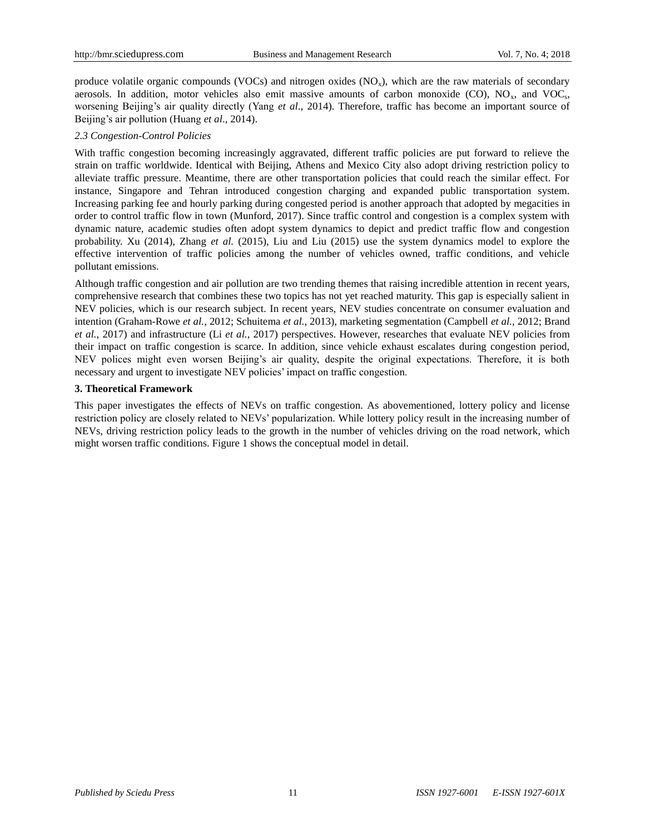produce volatile organic compounds (VOCs) and nitrogen oxides  $(NO<sub>x</sub>)$ , which are the raw materials of secondary aerosols. In addition, motor vehicles also emit massive amounts of carbon monoxide  $(CO)$ ,  $NO<sub>x</sub>$ , and  $VOC<sub>s</sub>$ , worsening Beijing's air quality directly (Yang *et al*., 2014). Therefore, traffic has become an important source of Beijing's air pollution (Huang *et al*., 2014).

# *2.3 Congestion-Control Policies*

With traffic congestion becoming increasingly aggravated, different traffic policies are put forward to relieve the strain on traffic worldwide. Identical with Beijing, Athens and Mexico City also adopt driving restriction policy to alleviate traffic pressure. Meantime, there are other transportation policies that could reach the similar effect. For instance, Singapore and Tehran introduced congestion charging and expanded public transportation system. Increasing parking fee and hourly parking during congested period is another approach that adopted by megacities in order to control traffic flow in town (Munford, 2017). Since traffic control and congestion is a complex system with dynamic nature, academic studies often adopt system dynamics to depict and predict traffic flow and congestion probability. Xu (2014), Zhang *et al.* (2015), Liu and Liu (2015) use the system dynamics model to explore the effective intervention of traffic policies among the number of vehicles owned, traffic conditions, and vehicle pollutant emissions.

Although traffic congestion and air pollution are two trending themes that raising incredible attention in recent years, comprehensive research that combines these two topics has not yet reached maturity. This gap is especially salient in NEV policies, which is our research subject. In recent years, NEV studies concentrate on consumer evaluation and intention (Graham-Rowe *et al.*, 2012; Schuitema *et al.*, 2013), marketing segmentation (Campbell *et al.*, 2012; Brand *et al.*, 2017) and infrastructure (Li *et al.*, 2017) perspectives. However, researches that evaluate NEV policies from their impact on traffic congestion is scarce. In addition, since vehicle exhaust escalates during congestion period, NEV polices might even worsen Beijing's air quality, despite the original expectations. Therefore, it is both necessary and urgent to investigate NEV policies' impact on traffic congestion.

# **3. Theoretical Framework**

This paper investigates the effects of NEVs on traffic congestion. As abovementioned, lottery policy and license restriction policy are closely related to NEVs' popularization. While lottery policy result in the increasing number of NEVs, driving restriction policy leads to the growth in the number of vehicles driving on the road network, which might worsen traffic conditions. Figure 1 shows the conceptual model in detail.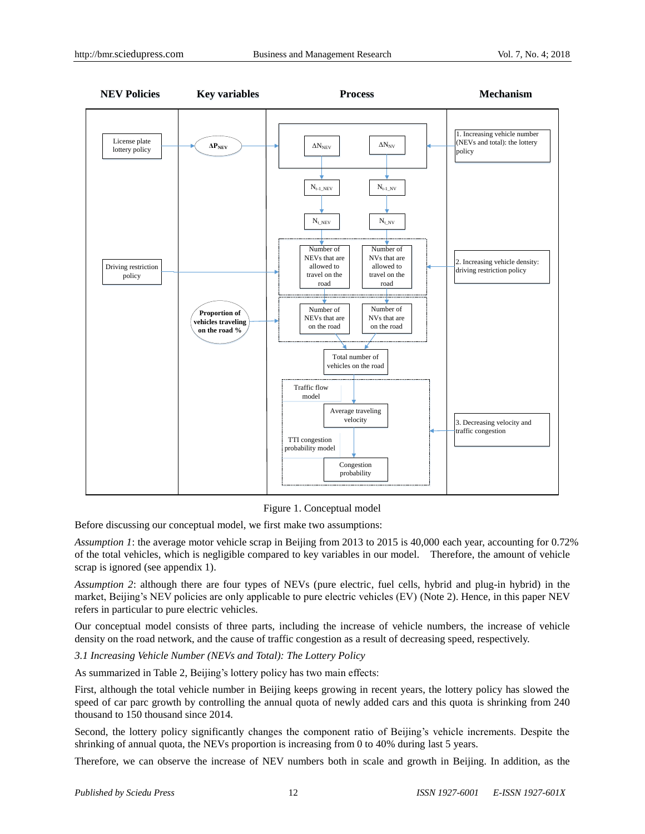

Figure 1. Conceptual model

Before discussing our conceptual model, we first make two assumptions:

*Assumption 1*: the average motor vehicle scrap in Beijing from 2013 to 2015 is 40,000 each year, accounting for 0.72% of the total vehicles, which is negligible compared to key variables in our model. Therefore, the amount of vehicle scrap is ignored (see appendix 1).

*Assumption 2*: although there are four types of NEVs (pure electric, fuel cells, hybrid and plug-in hybrid) in the market, Beijing's NEV policies are only applicable to pure electric vehicles (EV) (Note 2). Hence, in this paper NEV refers in particular to pure electric vehicles.

Our conceptual model consists of three parts, including the increase of vehicle numbers, the increase of vehicle density on the road network, and the cause of traffic congestion as a result of decreasing speed, respectively.

*3.1 Increasing Vehicle Number (NEVs and Total): The Lottery Policy*

As summarized in Table 2, Beijing's lottery policy has two main effects:

First, although the total vehicle number in Beijing keeps growing in recent years, the lottery policy has slowed the speed of car parc growth by controlling the annual quota of newly added cars and this quota is shrinking from 240 thousand to 150 thousand since 2014.

Second, the lottery policy significantly changes the component ratio of Beijing's vehicle increments. Despite the shrinking of annual quota, the NEVs proportion is increasing from 0 to 40% during last 5 years.

Therefore, we can observe the increase of NEV numbers both in scale and growth in Beijing. In addition, as the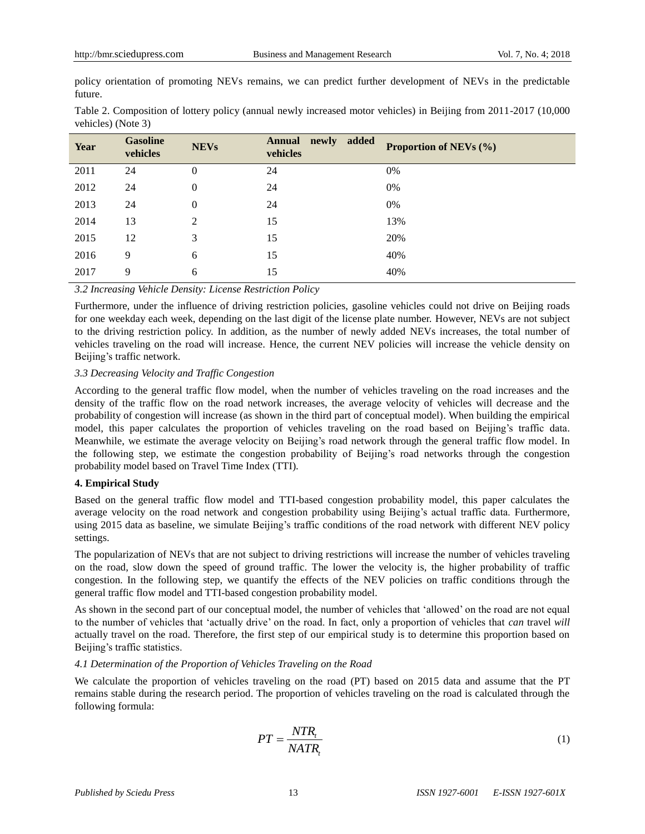policy orientation of promoting NEVs remains, we can predict further development of NEVs in the predictable future.

|                    | Table 2. Composition of lottery policy (annual newly increased motor vehicles) in Beijing from 2011-2017 (10,000 |  |  |
|--------------------|------------------------------------------------------------------------------------------------------------------|--|--|
| vehicles) (Note 3) |                                                                                                                  |  |  |

| Year | <b>Gasoline</b><br>vehicles | <b>NEVs</b>      | newly added<br><b>Annual</b><br>vehicles | <b>Proportion of NEVs (%)</b> |
|------|-----------------------------|------------------|------------------------------------------|-------------------------------|
| 2011 | 24                          | $\boldsymbol{0}$ | 24                                       | 0%                            |
| 2012 | 24                          | $\boldsymbol{0}$ | 24                                       | 0%                            |
| 2013 | 24                          | $\overline{0}$   | 24                                       | 0%                            |
| 2014 | 13                          | $\overline{2}$   | 15                                       | 13%                           |
| 2015 | 12                          | 3                | 15                                       | 20%                           |
| 2016 | 9                           | 6                | 15                                       | 40%                           |
| 2017 | 9                           | 6                | 15                                       | 40%                           |

*3.2 Increasing Vehicle Density: License Restriction Policy*

Furthermore, under the influence of driving restriction policies, gasoline vehicles could not drive on Beijing roads for one weekday each week, depending on the last digit of the license plate number. However, NEVs are not subject to the driving restriction policy. In addition, as the number of newly added NEVs increases, the total number of vehicles traveling on the road will increase. Hence, the current NEV policies will increase the vehicle density on Beijing's traffic network.

## *3.3 Decreasing Velocity and Traffic Congestion*

According to the general traffic flow model, when the number of vehicles traveling on the road increases and the density of the traffic flow on the road network increases, the average velocity of vehicles will decrease and the probability of congestion will increase (as shown in the third part of conceptual model). When building the empirical model, this paper calculates the proportion of vehicles traveling on the road based on Beijing's traffic data. Meanwhile, we estimate the average velocity on Beijing's road network through the general traffic flow model. In the following step, we estimate the congestion probability of Beijing's road networks through the congestion probability model based on Travel Time Index (TTI).

## **4. Empirical Study**

Based on the general traffic flow model and TTI-based congestion probability model, this paper calculates the average velocity on the road network and congestion probability using Beijing's actual traffic data. Furthermore, using 2015 data as baseline, we simulate Beijing's traffic conditions of the road network with different NEV policy settings.

The popularization of NEVs that are not subject to driving restrictions will increase the number of vehicles traveling on the road, slow down the speed of ground traffic. The lower the velocity is, the higher probability of traffic congestion. In the following step, we quantify the effects of the NEV policies on traffic conditions through the general traffic flow model and TTI-based congestion probability model.

As shown in the second part of our conceptual model, the number of vehicles that 'allowed' on the road are not equal to the number of vehicles that 'actually drive' on the road. In fact, only a proportion of vehicles that *can* travel *will* actually travel on the road. Therefore, the first step of our empirical study is to determine this proportion based on Beijing's traffic statistics.

## *4.1 Determination of the Proportion of Vehicles Traveling on the Road*

We calculate the proportion of vehicles traveling on the road (PT) based on 2015 data and assume that the PT remains stable during the research period. The proportion of vehicles traveling on the road is calculated through the following formula:

$$
PT = \frac{NTR_i}{NATR_i} \tag{1}
$$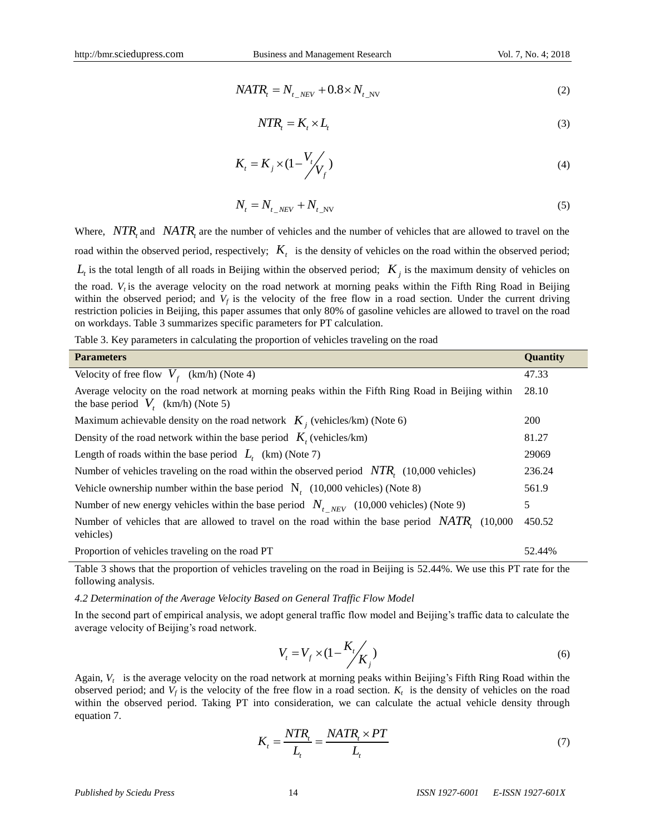$$
NATR_t = N_{t_{N}} + 0.8 \times N_{t_{N}}
$$
 (2)

$$
NTR_{i} = K_{i} \times L_{i}
$$
 (3)

$$
K_t = K_j \times (1 - \frac{V_t}{V_f})
$$
\n<sup>(4)</sup>

$$
N_t = N_{t_{\text{.}}NEV} + N_{t_{\text{.}}NV} \tag{5}
$$

Where,  $NTR_t$  and  $NATR_t$  are the number of vehicles and the number of vehicles that are allowed to travel on the road within the observed period, respectively;  $K_t$  is the density of vehicles on the road within the observed period;  $L_t$  is the total length of all roads in Beijing within the observed period;  $K_j$  is the maximum density of vehicles on the road.  $V_t$  is the average velocity on the road network at morning peaks within the Fifth Ring Road in Beijing within the observed period; and  $V_f$  is the velocity of the free flow in a road section. Under the current driving restriction policies in Beijing, this paper assumes that only 80% of gasoline vehicles are allowed to travel on the road on workdays. Table 3 summarizes specific parameters for PT calculation.

Table 3. Key parameters in calculating the proportion of vehicles traveling on the road

| <b>Parameters</b>                                                                                                                           | Quantity   |  |  |  |
|---------------------------------------------------------------------------------------------------------------------------------------------|------------|--|--|--|
| Velocity of free flow $V_f$ (km/h) (Note 4)                                                                                                 | 47.33      |  |  |  |
| Average velocity on the road network at morning peaks within the Fifth Ring Road in Beijing within<br>the base period $V_t$ (km/h) (Note 5) |            |  |  |  |
| Maximum achievable density on the road network $K_i$ (vehicles/km) (Note 6)                                                                 | <b>200</b> |  |  |  |
| Density of the road network within the base period $K_i$ (vehicles/km)                                                                      | 81.27      |  |  |  |
| Length of roads within the base period $L_{\text{t}}$ (km) (Note 7)                                                                         | 29069      |  |  |  |
| Number of vehicles traveling on the road within the observed period $\overline{NTR}$ , (10,000 vehicles)                                    | 236.24     |  |  |  |
| Vehicle ownership number within the base period $N_t$ (10,000 vehicles) (Note 8)                                                            | 561.9      |  |  |  |
| Number of new energy vehicles within the base period $N_{t NEV}$ (10,000 vehicles) (Note 9)                                                 | 5          |  |  |  |
| Number of vehicles that are allowed to travel on the road within the base period $NATR$ , (10,000)<br>vehicles)                             | 450.52     |  |  |  |
| Proportion of vehicles traveling on the road PT                                                                                             | 52.44%     |  |  |  |

Table 3 shows that the proportion of vehicles traveling on the road in Beijing is 52.44%. We use this PT rate for the following analysis.

*4.2 Determination of the Average Velocity Based on General Traffic Flow Model*

In the second part of empirical analysis, we adopt general traffic flow model and Beijing's traffic data to calculate the average velocity of Beijing's road network.

$$
V_t = V_f \times (1 - \frac{K_t}{K_j})
$$
\n<sup>(6)</sup>

Again,  $V_t$  is the average velocity on the road network at morning peaks within Beijing's Fifth Ring Road within the observed period; and  $V_f$  is the velocity of the free flow in a road section.  $K_t$  is the density of vehicles on the road within the observed period. Taking PT into consideration, we can calculate the actual vehicle density through equation 7.

$$
K_t = \frac{NTR_t}{L_t} = \frac{NATR_t \times PT}{L_t}
$$
\n<sup>(7)</sup>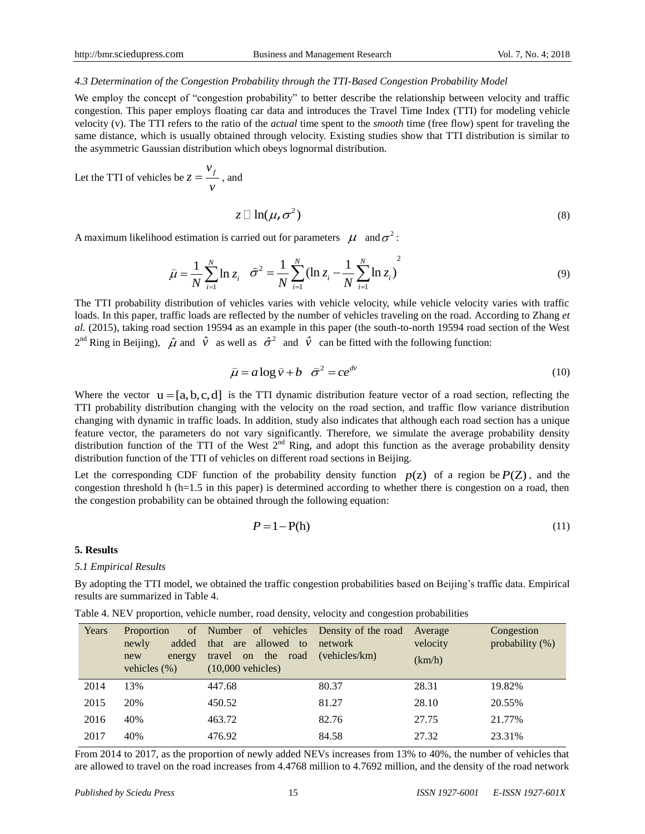## *4.3 Determination of the Congestion Probability through the TTI-Based Congestion Probability Model*

We employ the concept of "congestion probability" to better describe the relationship between velocity and traffic congestion. This paper employs floating car data and introduces the Travel Time Index (TTI) for modeling vehicle velocity (v). The TTI refers to the ratio of the *actual* time spent to the *smooth* time (free flow) spent for traveling the same distance, which is usually obtained through velocity. Existing studies show that TTI distribution is similar to the asymmetric Gaussian distribution which obeys lognormal distribution.

Let the TTI of vehicles be  $z = \frac{v_j}{v_j}$ *z v*  $=\frac{f}{f}$ , and

$$
z \Box \ln(\mu, \sigma^2) \tag{8}
$$

A maximum likelihood estimation is carried out for parameters  $\mu$  and  $\sigma^2$ :

$$
\hat{\mu} = \frac{1}{N} \sum_{i=1}^{N} \ln z_i \quad \hat{\sigma}^2 = \frac{1}{N} \sum_{i=1}^{N} (\ln z_i - \frac{1}{N} \sum_{i=1}^{N} \ln z_i)^2 \tag{9}
$$

The TTI probability distribution of vehicles varies with vehicle velocity, while vehicle velocity varies with traffic loads. In this paper, traffic loads are reflected by the number of vehicles traveling on the road. According to Zhang *et al.* (2015), taking road section 19594 as an example in this paper (the south-to-north 19594 road section of the West  $2^{nd}$  Ring in Beijing),  $\hat{\mu}$  and  $\hat{v}$  as well as  $\hat{\sigma}^2$  and  $\hat{v}$  can be fitted with the following function:

$$
\hat{\mu} = a \log \hat{v} + b \quad \hat{\sigma}^2 = ce^{d\hat{v}} \tag{10}
$$

Where the vector  $u = [a, b, c, d]$  is the TTI dynamic distribution feature vector of a road section, reflecting the TTI probability distribution changing with the velocity on the road section, and traffic flow variance distribution changing with dynamic in traffic loads. In addition, study also indicates that although each road section has a unique feature vector, the parameters do not vary significantly. Therefore, we simulate the average probability density distribution function of the TTI of the West  $2<sup>nd</sup>$  Ring, and adopt this function as the average probability density distribution function of the TTI of vehicles on different road sections in Beijing.

Let the corresponding CDF function of the probability density function  $p(z)$  of a region be  $P(Z)$ , and the congestion threshold h (h=1.5 in this paper) is determined according to whether there is congestion on a road, then the congestion probability can be obtained through the following equation:

$$
P = 1 - P(h) \tag{11}
$$

#### **5. Results**

#### *5.1 Empirical Results*

By adopting the TTI model, we obtained the traffic congestion probabilities based on Beijing's traffic data. Empirical results are summarized in Table 4.

Table 4. NEV proportion, vehicle number, road density, velocity and congestion probabilities

| Years | Proportion<br>added<br>newly<br>energy<br>new<br>vehicles $(\%)$ | of Number of vehicles Density of the road<br>that are allowed to<br>the road<br>travel<br>on<br>$(10,000$ vehicles) | network<br>(vehicles/km) | Average<br>velocity<br>(km/h) | Congestion<br>probability $(\%)$ |
|-------|------------------------------------------------------------------|---------------------------------------------------------------------------------------------------------------------|--------------------------|-------------------------------|----------------------------------|
| 2014  | 13%                                                              | 447.68                                                                                                              | 80.37                    | 28.31                         | 19.82%                           |
| 2015  | 20%                                                              | 450.52                                                                                                              | 81.27                    | 28.10                         | 20.55%                           |
| 2016  | 40%                                                              | 463.72                                                                                                              | 82.76                    | 27.75                         | 21.77%                           |
| 2017  | 40%                                                              | 476.92                                                                                                              | 84.58                    | 27.32                         | 23.31%                           |

From 2014 to 2017, as the proportion of newly added NEVs increases from 13% to 40%, the number of vehicles that are allowed to travel on the road increases from 4.4768 million to 4.7692 million, and the density of the road network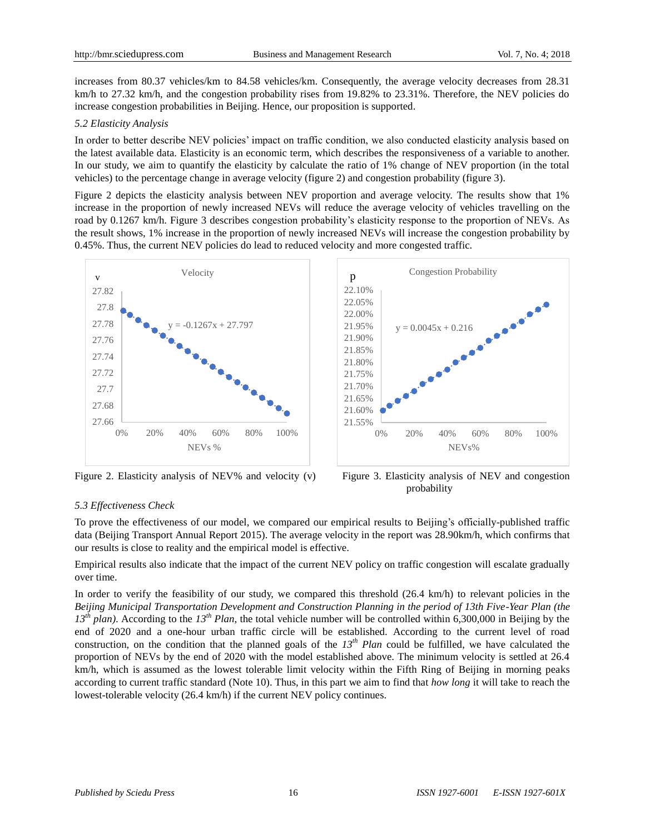increases from 80.37 vehicles/km to 84.58 vehicles/km. Consequently, the average velocity decreases from 28.31 km/h to 27.32 km/h, and the congestion probability rises from 19.82% to 23.31%. Therefore, the NEV policies do increase congestion probabilities in Beijing. Hence, our proposition is supported.

## *5.2 Elasticity Analysis*

In order to better describe NEV policies' impact on traffic condition, we also conducted elasticity analysis based on the latest available data. Elasticity is an economic term, which describes the responsiveness of a variable to another. In our study, we aim to quantify the elasticity by calculate the ratio of 1% change of NEV proportion (in the total vehicles) to the percentage change in average velocity (figure 2) and congestion probability (figure 3).

Figure 2 depicts the elasticity analysis between NEV proportion and average velocity. The results show that 1% increase in the proportion of newly increased NEVs will reduce the average velocity of vehicles travelling on the road by 0.1267 km/h. Figure 3 describes congestion probability's elasticity response to the proportion of NEVs. As the result shows, 1% increase in the proportion of newly increased NEVs will increase the congestion probability by 0.45%. Thus, the current NEV policies do lead to reduced velocity and more congested traffic.



Figure 2. Elasticity analysis of NEV% and velocity (v) Figure 3. Elasticity analysis of NEV and congestion



probability

# *5.3 Effectiveness Check*

To prove the effectiveness of our model, we compared our empirical results to Beijing's officially-published traffic data (Beijing Transport Annual Report 2015). The average velocity in the report was 28.90km/h, which confirms that our results is close to reality and the empirical model is effective.

Empirical results also indicate that the impact of the current NEV policy on traffic congestion will escalate gradually over time.

In order to verify the feasibility of our study, we compared this threshold (26.4 km/h) to relevant policies in the *Beijing Municipal Transportation Development and Construction Planning in the period of 13th Five-Year Plan (the 13th plan)*. According to the *13th Plan*, the total vehicle number will be controlled within 6,300,000 in Beijing by the end of 2020 and a one-hour urban traffic circle will be established. According to the current level of road construction, on the condition that the planned goals of the  $13<sup>th</sup>$  *Plan* could be fulfilled, we have calculated the proportion of NEVs by the end of 2020 with the model established above. The minimum velocity is settled at 26.4 km/h, which is assumed as the lowest tolerable limit velocity within the Fifth Ring of Beijing in morning peaks according to current traffic standard (Note 10). Thus, in this part we aim to find that *how long* it will take to reach the lowest-tolerable velocity (26.4 km/h) if the current NEV policy continues.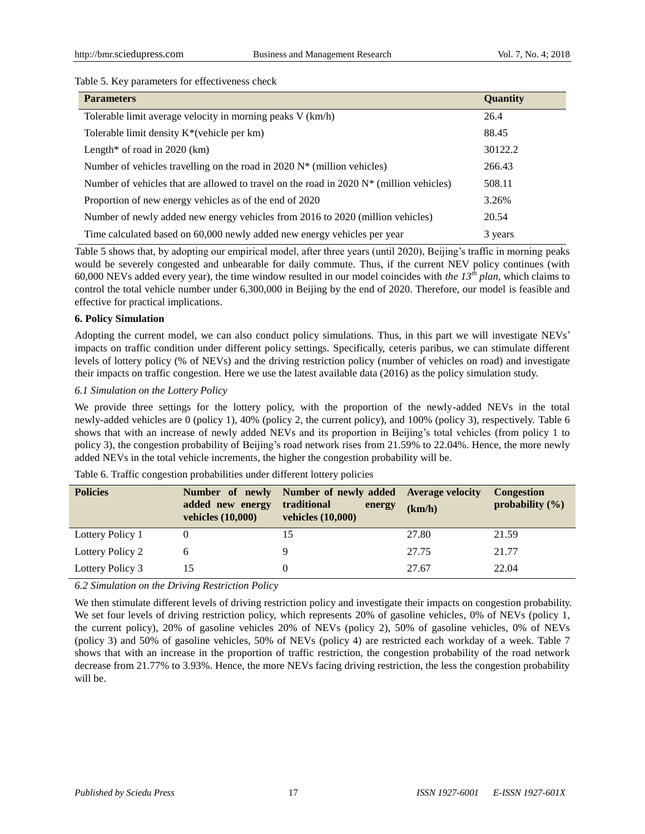## Table 5. Key parameters for effectiveness check

| <b>Parameters</b>                                                                          | <b>Quantity</b> |
|--------------------------------------------------------------------------------------------|-----------------|
| Tolerable limit average velocity in morning peaks V (km/h)                                 | 26.4            |
| Tolerable limit density $K^*$ (vehicle per km)                                             | 88.45           |
| Length* of road in $2020$ (km)                                                             | 30122.2         |
| Number of vehicles travelling on the road in 2020 $N^*$ (million vehicles)                 | 266.43          |
| Number of vehicles that are allowed to travel on the road in 2020 $N^*$ (million vehicles) | 508.11          |
| Proportion of new energy vehicles as of the end of 2020                                    | 3.26%           |
| Number of newly added new energy vehicles from 2016 to 2020 (million vehicles)             | 20.54           |
| Time calculated based on 60,000 newly added new energy vehicles per year                   | 3 years         |

Table 5 shows that, by adopting our empirical model, after three years (until 2020), Beijing's traffic in morning peaks would be severely congested and unbearable for daily commute. Thus, if the current NEV policy continues (with 60,000 NEVs added every year), the time window resulted in our model coincides with *the*  $13<sup>th</sup>$  *plan*, which claims to control the total vehicle number under 6,300,000 in Beijing by the end of 2020. Therefore, our model is feasible and effective for practical implications.

## **6. Policy Simulation**

Adopting the current model, we can also conduct policy simulations. Thus, in this part we will investigate NEVs' impacts on traffic condition under different policy settings. Specifically, ceteris paribus, we can stimulate different levels of lottery policy (% of NEVs) and the driving restriction policy (number of vehicles on road) and investigate their impacts on traffic congestion. Here we use the latest available data (2016) as the policy simulation study.

## *6.1 Simulation on the Lottery Policy*

We provide three settings for the lottery policy, with the proportion of the newly-added NEVs in the total newly-added vehicles are 0 (policy 1), 40% (policy 2, the current policy), and 100% (policy 3), respectively. Table 6 shows that with an increase of newly added NEVs and its proportion in Beijing's total vehicles (from policy 1 to policy 3), the congestion probability of Beijing's road network rises from 21.59% to 22.04%. Hence, the more newly added NEVs in the total vehicle increments, the higher the congestion probability will be.

| <b>Policies</b>  | added new energy<br>vehicles (10,000) | Number of newly Number of newly added Average velocity<br>traditional<br>energy<br>vehicles (10,000) | (km/h) | <b>Congestion</b><br>probability $(\% )$ |
|------------------|---------------------------------------|------------------------------------------------------------------------------------------------------|--------|------------------------------------------|
| Lottery Policy 1 |                                       | 15                                                                                                   | 27.80  | 21.59                                    |
| Lottery Policy 2 | h                                     |                                                                                                      | 27.75  | 21.77                                    |
| Lottery Policy 3 | 15                                    |                                                                                                      | 27.67  | 22.04                                    |

Table 6. Traffic congestion probabilities under different lottery policies

*6.2 Simulation on the Driving Restriction Policy*

We then stimulate different levels of driving restriction policy and investigate their impacts on congestion probability. We set four levels of driving restriction policy, which represents 20% of gasoline vehicles, 0% of NEVs (policy 1, the current policy), 20% of gasoline vehicles 20% of NEVs (policy 2), 50% of gasoline vehicles, 0% of NEVs (policy 3) and 50% of gasoline vehicles, 50% of NEVs (policy 4) are restricted each workday of a week. Table 7 shows that with an increase in the proportion of traffic restriction, the congestion probability of the road network decrease from 21.77% to 3.93%. Hence, the more NEVs facing driving restriction, the less the congestion probability will be.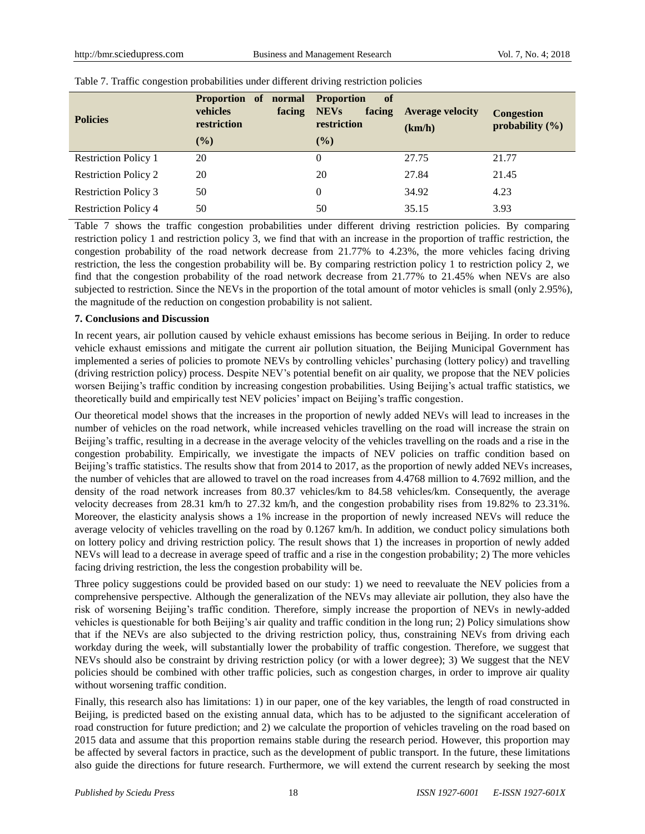| <b>Policies</b>             | <b>Proportion</b><br>normal<br>of<br>vehicles<br>facing<br>restriction<br>$(\%)$ | <b>Proportion</b><br><b>of</b><br><b>NEVs</b><br>facing<br>restriction<br>$($ %) | <b>Average velocity</b><br>(km/h) | <b>Congestion</b><br>probability $(\% )$ |
|-----------------------------|----------------------------------------------------------------------------------|----------------------------------------------------------------------------------|-----------------------------------|------------------------------------------|
| <b>Restriction Policy 1</b> | 20                                                                               | 0                                                                                | 27.75                             | 21.77                                    |
| <b>Restriction Policy 2</b> | 20                                                                               | 20                                                                               | 27.84                             | 21.45                                    |
| <b>Restriction Policy 3</b> | 50                                                                               | $\Omega$                                                                         | 34.92                             | 4.23                                     |
| <b>Restriction Policy 4</b> | 50                                                                               | 50                                                                               | 35.15                             | 3.93                                     |

## Table 7. Traffic congestion probabilities under different driving restriction policies

Table 7 shows the traffic congestion probabilities under different driving restriction policies. By comparing restriction policy 1 and restriction policy 3, we find that with an increase in the proportion of traffic restriction, the congestion probability of the road network decrease from 21.77% to 4.23%, the more vehicles facing driving restriction, the less the congestion probability will be. By comparing restriction policy 1 to restriction policy 2, we find that the congestion probability of the road network decrease from 21.77% to 21.45% when NEVs are also subjected to restriction. Since the NEVs in the proportion of the total amount of motor vehicles is small (only 2.95%), the magnitude of the reduction on congestion probability is not salient.

## **7. Conclusions and Discussion**

In recent years, air pollution caused by vehicle exhaust emissions has become serious in Beijing. In order to reduce vehicle exhaust emissions and mitigate the current air pollution situation, the Beijing Municipal Government has implemented a series of policies to promote NEVs by controlling vehicles' purchasing (lottery policy) and travelling (driving restriction policy) process. Despite NEV's potential benefit on air quality, we propose that the NEV policies worsen Beijing's traffic condition by increasing congestion probabilities. Using Beijing's actual traffic statistics, we theoretically build and empirically test NEV policies' impact on Beijing's traffic congestion.

Our theoretical model shows that the increases in the proportion of newly added NEVs will lead to increases in the number of vehicles on the road network, while increased vehicles travelling on the road will increase the strain on Beijing's traffic, resulting in a decrease in the average velocity of the vehicles travelling on the roads and a rise in the congestion probability. Empirically, we investigate the impacts of NEV policies on traffic condition based on Beijing's traffic statistics. The results show that from 2014 to 2017, as the proportion of newly added NEVs increases, the number of vehicles that are allowed to travel on the road increases from 4.4768 million to 4.7692 million, and the density of the road network increases from 80.37 vehicles/km to 84.58 vehicles/km. Consequently, the average velocity decreases from 28.31 km/h to 27.32 km/h, and the congestion probability rises from 19.82% to 23.31%. Moreover, the elasticity analysis shows a 1% increase in the proportion of newly increased NEVs will reduce the average velocity of vehicles travelling on the road by 0.1267 km/h. In addition, we conduct policy simulations both on lottery policy and driving restriction policy. The result shows that 1) the increases in proportion of newly added NEVs will lead to a decrease in average speed of traffic and a rise in the congestion probability; 2) The more vehicles facing driving restriction, the less the congestion probability will be.

Three policy suggestions could be provided based on our study: 1) we need to reevaluate the NEV policies from a comprehensive perspective. Although the generalization of the NEVs may alleviate air pollution, they also have the risk of worsening Beijing's traffic condition. Therefore, simply increase the proportion of NEVs in newly-added vehicles is questionable for both Beijing's air quality and traffic condition in the long run; 2) Policy simulations show that if the NEVs are also subjected to the driving restriction policy, thus, constraining NEVs from driving each workday during the week, will substantially lower the probability of traffic congestion. Therefore, we suggest that NEVs should also be constraint by driving restriction policy (or with a lower degree); 3) We suggest that the NEV policies should be combined with other traffic policies, such as congestion charges, in order to improve air quality without worsening traffic condition.

Finally, this research also has limitations: 1) in our paper, one of the key variables, the length of road constructed in Beijing, is predicted based on the existing annual data, which has to be adjusted to the significant acceleration of road construction for future prediction; and 2) we calculate the proportion of vehicles traveling on the road based on 2015 data and assume that this proportion remains stable during the research period. However, this proportion may be affected by several factors in practice, such as the development of public transport. In the future, these limitations also guide the directions for future research. Furthermore, we will extend the current research by seeking the most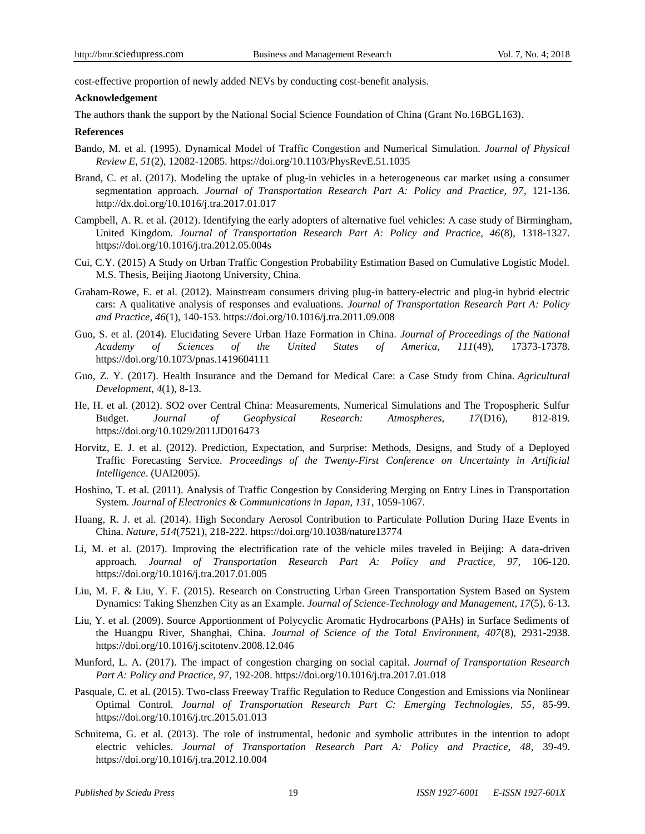cost-effective proportion of newly added NEVs by conducting cost-benefit analysis.

#### **Acknowledgement**

The authors thank the support by the National Social Science Foundation of China (Grant No.16BGL163).

#### **References**

- Bando, M. et al. (1995). Dynamical Model of Traffic Congestion and Numerical Simulation. *Journal of Physical Review E, 51*(2), 12082-12085. https://doi.org/10.1103/PhysRevE.51.1035
- Brand, C. et al. (2017). Modeling the uptake of plug-in vehicles in a heterogeneous car market using a consumer segmentation approach. *Journal of Transportation Research Part A: Policy and Practice, 97*, 121-136. <http://dx.doi.org/10.1016/j.tra.2017.01.017>
- Campbell, A. R. et al. (2012). Identifying the early adopters of alternative fuel vehicles: A case study of Birmingham, United Kingdom. *Journal of Transportation Research Part A: Policy and Practice, 46*(8), 1318-1327. https://doi.org/10.1016/j.tra.2012.05.004s
- Cui, C.Y. (2015) A Study on Urban Traffic Congestion Probability Estimation Based on Cumulative Logistic Model. M.S. Thesis, Beijing Jiaotong University, China.
- Graham-Rowe, E. et al. (2012). Mainstream consumers driving plug-in battery-electric and plug-in hybrid electric cars: A qualitative analysis of responses and evaluations. *Journal of Transportation Research Part A: Policy and Practice, 46*(1), 140-153. https://doi.org/10.1016/j.tra.2011.09.008
- Guo, S. et al. (2014). Elucidating Severe Urban Haze Formation in China*. Journal of Proceedings of the National Academy of Sciences of the United States of America, 111*(49), 17373-17378. <https://doi.org/10.1073/pnas.1419604111>
- Guo, Z. Y. (2017). Health Insurance and the Demand for Medical Care: a Case Study from China. *Agricultural Development*, *4*(1), 8-13.
- He, H. et al. (2012). SO2 over Central China: Measurements, Numerical Simulations and The Tropospheric Sulfur Budget. *Journal of Geophysical Research: Atmospheres, 17*(D16), 812-819. https://doi.org/10.1029/2011JD016473
- Horvitz, E. J. et al. (2012). Prediction, Expectation, and Surprise: Methods, Designs, and Study of a Deployed Traffic Forecasting Service. *Proceedings of the Twenty-First Conference on Uncertainty in Artificial Intelligence*. (UAI2005).
- Hoshino, T. et al. (2011). Analysis of Traffic Congestion by Considering Merging on Entry Lines in Transportation System. *Journal of Electronics & Communications in Japan, 131*, 1059-1067.
- Huang, R. J. et al. (2014). High Secondary Aerosol Contribution to Particulate Pollution During Haze Events in China. *Nature, 514*(7521), 218-222. <https://doi.org/10.1038/nature13774>
- Li, M. et al. (2017). Improving the electrification rate of the vehicle miles traveled in Beijing: A data-driven approach. *Journal of Transportation Research Part A: Policy and Practice, 97*, 106-120. <https://doi.org/10.1016/j.tra.2017.01.005>
- Liu, M. F. & Liu, Y. F. (2015). Research on Constructing Urban Green Transportation System Based on System Dynamics: Taking Shenzhen City as an Example. *Journal of Science-Technology and Management, 17*(5), 6-13.
- Liu, Y. et al. (2009). Source Apportionment of Polycyclic Aromatic Hydrocarbons (PAHs) in Surface Sediments of the Huangpu River, Shanghai, China. *Journal of Science of the Total Environment, 407*(8), 2931-2938. <https://doi.org/10.1016/j.scitotenv.2008.12.046>
- Munford, L. A. (2017). The impact of congestion charging on social capital. *Journal of Transportation Research Part A: Policy and Practice, 97*, 192-208. <https://doi.org/10.1016/j.tra.2017.01.018>
- Pasquale, C. et al. (2015). Two-class Freeway Traffic Regulation to Reduce Congestion and Emissions via Nonlinear Optimal Control. *Journal of Transportation Research Part C: Emerging Technologies, 55*, 85-99. <https://doi.org/10.1016/j.trc.2015.01.013>
- Schuitema, G. et al. (2013). The role of instrumental, hedonic and symbolic attributes in the intention to adopt electric vehicles. *Journal of Transportation Research Part A: Policy and Practice, 48*, 39-49. <https://doi.org/10.1016/j.tra.2012.10.004>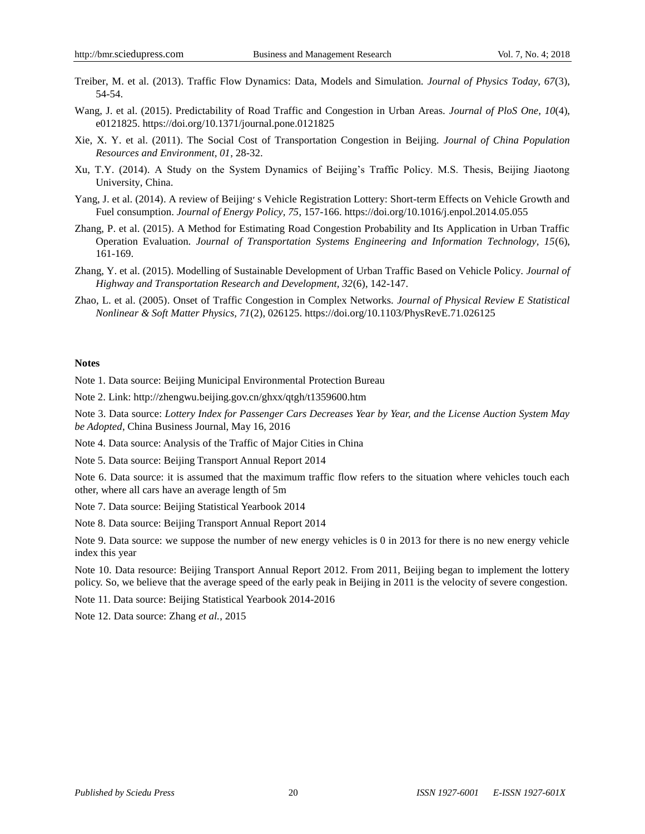- Treiber, M. et al. (2013). Traffic Flow Dynamics: Data, Models and Simulation. *Journal of Physics Today, 67*(3), 54-54.
- Wang, J. et al. (2015). Predictability of Road Traffic and Congestion in Urban Areas. *Journal of PloS One, 10*(4), e0121825. <https://doi.org/10.1371/journal.pone.0121825>
- Xie, X. Y. et al. (2011). The Social Cost of Transportation Congestion in Beijing. *Journal of China Population Resources and Environment, 01*, 28-32.
- Xu, T.Y. (2014). A Study on the System Dynamics of Beijing's Traffic Policy. M.S. Thesis, Beijing Jiaotong University, China.
- Yang, J. et al. (2014). A review of Beijing׳ s Vehicle Registration Lottery: Short-term Effects on Vehicle Growth and Fuel consumption. *Journal of Energy Policy, 75*, 157-166. <https://doi.org/10.1016/j.enpol.2014.05.055>
- Zhang, P. et al. (2015). A Method for Estimating Road Congestion Probability and Its Application in Urban Traffic Operation Evaluation. *Journal of Transportation Systems Engineering and Information Technology, 15*(6), 161-169.
- Zhang, Y. et al. (2015). Modelling of Sustainable Development of Urban Traffic Based on Vehicle Policy. *Journal of Highway and Transportation Research and Development, 32*(6), 142-147.
- Zhao, L. et al. (2005). Onset of Traffic Congestion in Complex Networks. *Journal of Physical Review E Statistical Nonlinear & Soft Matter Physics, 71*(2), 026125. <https://doi.org/10.1103/PhysRevE.71.026125>

#### **Notes**

Note 1. Data source: Beijing Municipal Environmental Protection Bureau

Note 2. Link: http://zhengwu.beijing.gov.cn/ghxx/qtgh/t1359600.htm

Note 3. Data source: *Lottery Index for Passenger Cars Decreases Year by Year, and the License Auction System May be Adopted*, China Business Journal, May 16, 2016

Note 4. Data source: Analysis of the Traffic of Major Cities in China

Note 5. Data source: Beijing Transport Annual Report 2014

Note 6. Data source: it is assumed that the maximum traffic flow refers to the situation where vehicles touch each other, where all cars have an average length of 5m

Note 7. Data source: Beijing Statistical Yearbook 2014

Note 8. Data source: Beijing Transport Annual Report 2014

Note 9. Data source: we suppose the number of new energy vehicles is 0 in 2013 for there is no new energy vehicle index this year

Note 10. Data resource: Beijing Transport Annual Report 2012. From 2011, Beijing began to implement the lottery policy. So, we believe that the average speed of the early peak in Beijing in 2011 is the velocity of severe congestion.

Note 11. Data source: Beijing Statistical Yearbook 2014-2016

Note 12. Data source: Zhang *et al.*, 2015